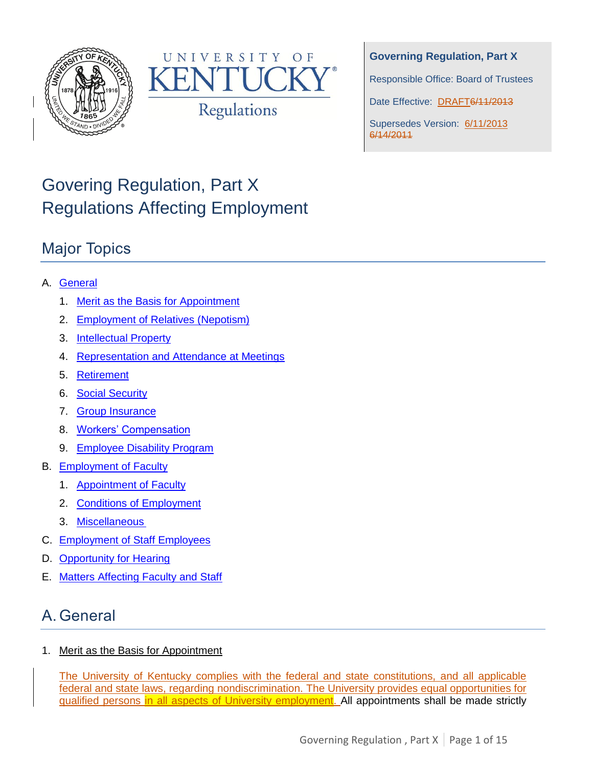



### **Governing Regulation, Part X**

Responsible Office: Board of Trustees

Date Effective: DRAFT6/11/2013

Supersedes Version: 6/11/2013 6/14/2011

# Govering Regulation, Part X Regulations Affecting Employment

## Major Topics

### A. [General](#page-0-0)

- 1. [Merit as the Basis for Appointment](#page-0-1)
- 2. [Employment of Relatives \(Nepotism\)](#page-1-0)
- 3. [Intellectual Property](#page-2-0)
- 4. [Representation and Attendance at Meetings](#page-2-1)
- 5. [Retirement](#page-2-2)
- 6. [Social Security](#page-3-0)
- 7. [Group Insurance](#page-3-1)
- 8. [Workers' Compensation](#page-3-2)
- 9. [Employee Disability Program](#page-3-3)
- B. [Employment of Faculty](#page-3-4)
	- 1. [Appointment of Faculty](#page-3-5)
	- 2. [Conditions of Employment](#page-8-0)
	- 3. [Miscellaneous](#page-12-0)
- C. [Employment of Staff Employees](#page-13-0)
- D. [Opportunity for Hearing](#page-13-1)
- E. [Matters Affecting Faculty and Staff](#page-13-2)

# <span id="page-0-0"></span>A. General

<span id="page-0-1"></span>1. Merit as the Basis for Appointment

The University of Kentucky complies with the federal and state constitutions, and all applicable federal and state laws, regarding nondiscrimination. The University provides equal opportunities for qualified persons in all aspects of University employment. All appointments shall be made strictly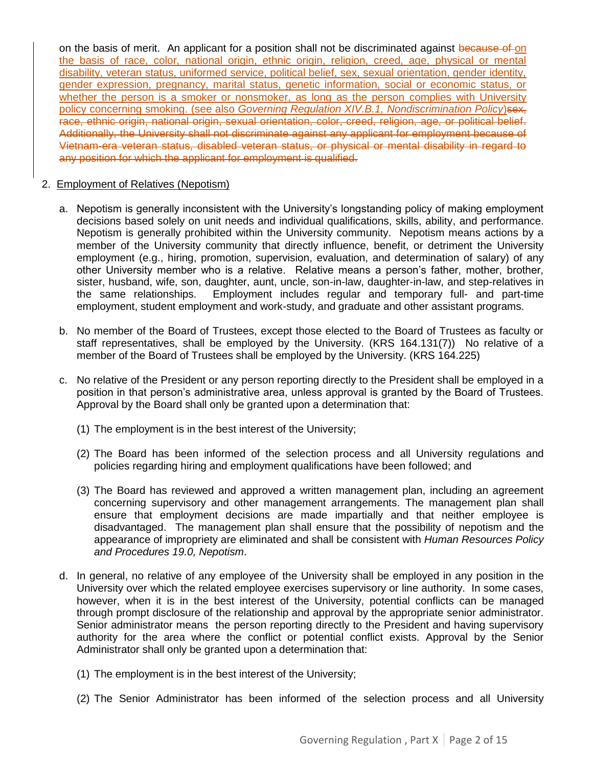on the basis of merit. An applicant for a position shall not be discriminated against because of on the basis of race, color, national origin, ethnic origin, religion, creed, age, physical or mental disability, veteran status, uniformed service, political belief, sex, sexual orientation, gender identity, gender expression, pregnancy, marital status, genetic information, social or economic status, or whether the person is a smoker or nonsmoker, as long as the person complies with University policy concerning smoking. (see also *Governing Regulation XIV.B.1, Nondiscrimination Policy*)sex, race, ethnic origin, national origin, sexual orientation, color, creed, religion, age, or political belief. Additionally, the University shall not discriminate against any applicant for employment because of Vietnam-era veteran status, disabled veteran status, or physical or mental disability in regard to any position for which the applicant for employment is qualified.

#### <span id="page-1-0"></span>2. Employment of Relatives (Nepotism)

- a. Nepotism is generally inconsistent with the University's longstanding policy of making employment decisions based solely on unit needs and individual qualifications, skills, ability, and performance. Nepotism is generally prohibited within the University community. Nepotism means actions by a member of the University community that directly influence, benefit, or detriment the University employment (e.g., hiring, promotion, supervision, evaluation, and determination of salary) of any other University member who is a relative. Relative means a person's father, mother, brother, sister, husband, wife, son, daughter, aunt, uncle, son-in-law, daughter-in-law, and step-relatives in the same relationships. Employment includes regular and temporary full- and part-time employment, student employment and work-study, and graduate and other assistant programs.
- b. No member of the Board of Trustees, except those elected to the Board of Trustees as faculty or staff representatives, shall be employed by the University. (KRS 164.131(7)) No relative of a member of the Board of Trustees shall be employed by the University. (KRS 164.225)
- c. No relative of the President or any person reporting directly to the President shall be employed in a position in that person's administrative area, unless approval is granted by the Board of Trustees. Approval by the Board shall only be granted upon a determination that:
	- (1) The employment is in the best interest of the University;
	- (2) The Board has been informed of the selection process and all University regulations and policies regarding hiring and employment qualifications have been followed; and
	- (3) The Board has reviewed and approved a written management plan, including an agreement concerning supervisory and other management arrangements. The management plan shall ensure that employment decisions are made impartially and that neither employee is disadvantaged. The management plan shall ensure that the possibility of nepotism and the appearance of impropriety are eliminated and shall be consistent with *Human Resources Policy and Procedures 19.0, Nepotism*.
- d. In general, no relative of any employee of the University shall be employed in any position in the University over which the related employee exercises supervisory or line authority. In some cases, however, when it is in the best interest of the University, potential conflicts can be managed through prompt disclosure of the relationship and approval by the appropriate senior administrator. Senior administrator means the person reporting directly to the President and having supervisory authority for the area where the conflict or potential conflict exists. Approval by the Senior Administrator shall only be granted upon a determination that:
	- (1) The employment is in the best interest of the University;
	- (2) The Senior Administrator has been informed of the selection process and all University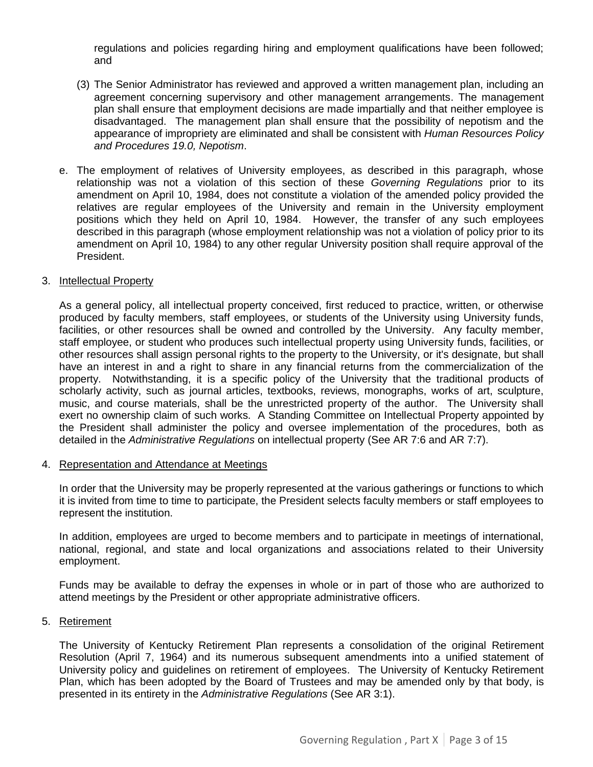regulations and policies regarding hiring and employment qualifications have been followed; and

- (3) The Senior Administrator has reviewed and approved a written management plan, including an agreement concerning supervisory and other management arrangements. The management plan shall ensure that employment decisions are made impartially and that neither employee is disadvantaged. The management plan shall ensure that the possibility of nepotism and the appearance of impropriety are eliminated and shall be consistent with *Human Resources Policy and Procedures 19.0, Nepotism*.
- e. The employment of relatives of University employees, as described in this paragraph, whose relationship was not a violation of this section of these *Governing Regulations* prior to its amendment on April 10, 1984, does not constitute a violation of the amended policy provided the relatives are regular employees of the University and remain in the University employment positions which they held on April 10, 1984. However, the transfer of any such employees described in this paragraph (whose employment relationship was not a violation of policy prior to its amendment on April 10, 1984) to any other regular University position shall require approval of the President.

#### <span id="page-2-0"></span>3. Intellectual Property

As a general policy, all intellectual property conceived, first reduced to practice, written, or otherwise produced by faculty members, staff employees, or students of the University using University funds, facilities, or other resources shall be owned and controlled by the University. Any faculty member, staff employee, or student who produces such intellectual property using University funds, facilities, or other resources shall assign personal rights to the property to the University, or it's designate, but shall have an interest in and a right to share in any financial returns from the commercialization of the property. Notwithstanding, it is a specific policy of the University that the traditional products of scholarly activity, such as journal articles, textbooks, reviews, monographs, works of art, sculpture, music, and course materials, shall be the unrestricted property of the author. The University shall exert no ownership claim of such works. A Standing Committee on Intellectual Property appointed by the President shall administer the policy and oversee implementation of the procedures, both as detailed in the *Administrative Regulations* on intellectual property (See AR 7:6 and AR 7:7).

<span id="page-2-1"></span>4. Representation and Attendance at Meetings

In order that the University may be properly represented at the various gatherings or functions to which it is invited from time to time to participate, the President selects faculty members or staff employees to represent the institution.

In addition, employees are urged to become members and to participate in meetings of international, national, regional, and state and local organizations and associations related to their University employment.

Funds may be available to defray the expenses in whole or in part of those who are authorized to attend meetings by the President or other appropriate administrative officers.

#### <span id="page-2-2"></span>5. Retirement

The University of Kentucky Retirement Plan represents a consolidation of the original Retirement Resolution (April 7, 1964) and its numerous subsequent amendments into a unified statement of University policy and guidelines on retirement of employees. The University of Kentucky Retirement Plan, which has been adopted by the Board of Trustees and may be amended only by that body, is presented in its entirety in the *Administrative Regulations* (See AR 3:1).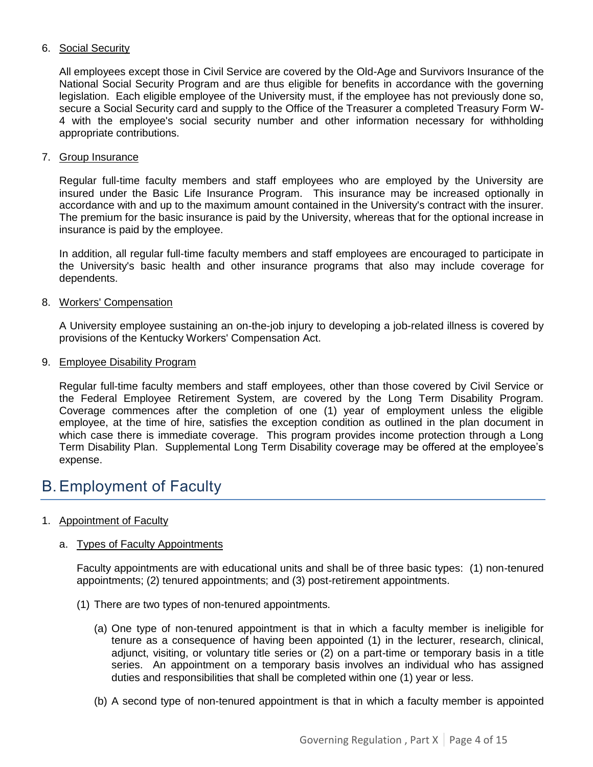#### <span id="page-3-0"></span>6. Social Security

All employees except those in Civil Service are covered by the Old-Age and Survivors Insurance of the National Social Security Program and are thus eligible for benefits in accordance with the governing legislation. Each eligible employee of the University must, if the employee has not previously done so, secure a Social Security card and supply to the Office of the Treasurer a completed Treasury Form W-4 with the employee's social security number and other information necessary for withholding appropriate contributions.

#### <span id="page-3-1"></span>7. Group Insurance

Regular full-time faculty members and staff employees who are employed by the University are insured under the Basic Life Insurance Program. This insurance may be increased optionally in accordance with and up to the maximum amount contained in the University's contract with the insurer. The premium for the basic insurance is paid by the University, whereas that for the optional increase in insurance is paid by the employee.

In addition, all regular full-time faculty members and staff employees are encouraged to participate in the University's basic health and other insurance programs that also may include coverage for dependents.

#### <span id="page-3-2"></span>8. Workers' Compensation

A University employee sustaining an on-the-job injury to developing a job-related illness is covered by provisions of the Kentucky Workers' Compensation Act.

#### <span id="page-3-3"></span>9. Employee Disability Program

Regular full-time faculty members and staff employees, other than those covered by Civil Service or the Federal Employee Retirement System, are covered by the Long Term Disability Program. Coverage commences after the completion of one (1) year of employment unless the eligible employee, at the time of hire, satisfies the exception condition as outlined in the plan document in which case there is immediate coverage. This program provides income protection through a Long Term Disability Plan. Supplemental Long Term Disability coverage may be offered at the employee's expense.

### <span id="page-3-4"></span>B.Employment of Faculty

#### <span id="page-3-5"></span>1. Appointment of Faculty

#### a. Types of Faculty Appointments

Faculty appointments are with educational units and shall be of three basic types: (1) non-tenured appointments; (2) tenured appointments; and (3) post-retirement appointments.

- (1) There are two types of non-tenured appointments.
	- (a) One type of non-tenured appointment is that in which a faculty member is ineligible for tenure as a consequence of having been appointed (1) in the lecturer, research, clinical, adjunct, visiting, or voluntary title series or (2) on a part-time or temporary basis in a title series. An appointment on a temporary basis involves an individual who has assigned duties and responsibilities that shall be completed within one (1) year or less.
	- (b) A second type of non-tenured appointment is that in which a faculty member is appointed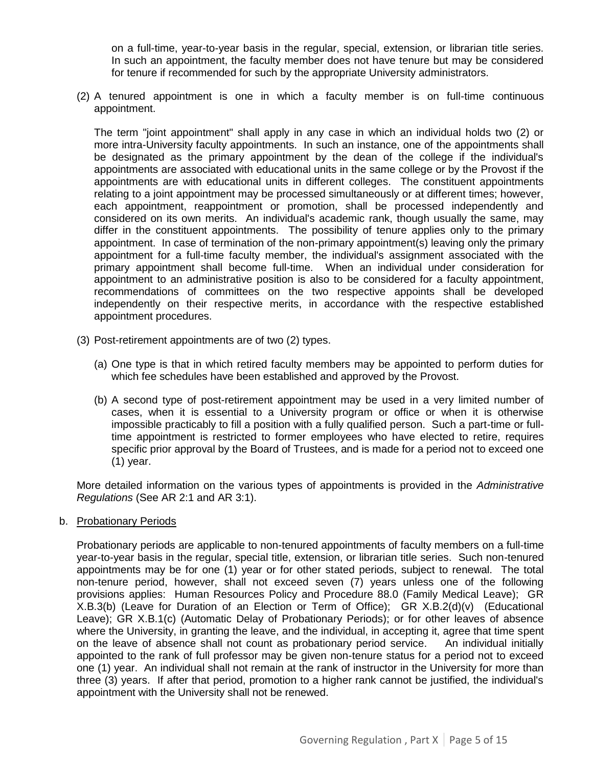on a full-time, year-to-year basis in the regular, special, extension, or librarian title series. In such an appointment, the faculty member does not have tenure but may be considered for tenure if recommended for such by the appropriate University administrators.

(2) A tenured appointment is one in which a faculty member is on full-time continuous appointment.

The term "joint appointment" shall apply in any case in which an individual holds two (2) or more intra-University faculty appointments. In such an instance, one of the appointments shall be designated as the primary appointment by the dean of the college if the individual's appointments are associated with educational units in the same college or by the Provost if the appointments are with educational units in different colleges. The constituent appointments relating to a joint appointment may be processed simultaneously or at different times; however, each appointment, reappointment or promotion, shall be processed independently and considered on its own merits. An individual's academic rank, though usually the same, may differ in the constituent appointments. The possibility of tenure applies only to the primary appointment. In case of termination of the non-primary appointment(s) leaving only the primary appointment for a full-time faculty member, the individual's assignment associated with the primary appointment shall become full-time. When an individual under consideration for appointment to an administrative position is also to be considered for a faculty appointment, recommendations of committees on the two respective appoints shall be developed independently on their respective merits, in accordance with the respective established appointment procedures.

- (3) Post-retirement appointments are of two (2) types.
	- (a) One type is that in which retired faculty members may be appointed to perform duties for which fee schedules have been established and approved by the Provost.
	- (b) A second type of post-retirement appointment may be used in a very limited number of cases, when it is essential to a University program or office or when it is otherwise impossible practicably to fill a position with a fully qualified person. Such a part-time or fulltime appointment is restricted to former employees who have elected to retire, requires specific prior approval by the Board of Trustees, and is made for a period not to exceed one (1) year.

More detailed information on the various types of appointments is provided in the *Administrative Regulations* (See AR 2:1 and AR 3:1).

b. Probationary Periods

Probationary periods are applicable to non-tenured appointments of faculty members on a full-time year-to-year basis in the regular, special title, extension, or librarian title series. Such non-tenured appointments may be for one (1) year or for other stated periods, subject to renewal. The total non-tenure period, however, shall not exceed seven (7) years unless one of the following provisions applies: Human Resources Policy and Procedure 88.0 (Family Medical Leave); GR X.B.3(b) (Leave for Duration of an Election or Term of Office); GR X.B.2(d)(v) (Educational Leave); GR X.B.1(c) (Automatic Delay of Probationary Periods); or for other leaves of absence where the University, in granting the leave, and the individual, in accepting it, agree that time spent on the leave of absence shall not count as probationary period service. An individual initially appointed to the rank of full professor may be given non-tenure status for a period not to exceed one (1) year. An individual shall not remain at the rank of instructor in the University for more than three (3) years. If after that period, promotion to a higher rank cannot be justified, the individual's appointment with the University shall not be renewed.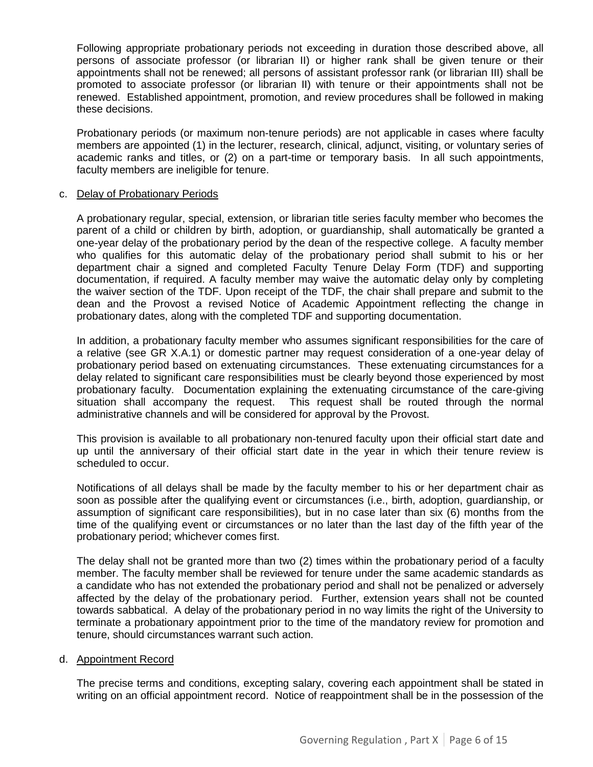Following appropriate probationary periods not exceeding in duration those described above, all persons of associate professor (or librarian II) or higher rank shall be given tenure or their appointments shall not be renewed; all persons of assistant professor rank (or librarian III) shall be promoted to associate professor (or librarian II) with tenure or their appointments shall not be renewed. Established appointment, promotion, and review procedures shall be followed in making these decisions.

Probationary periods (or maximum non-tenure periods) are not applicable in cases where faculty members are appointed (1) in the lecturer, research, clinical, adjunct, visiting, or voluntary series of academic ranks and titles, or (2) on a part-time or temporary basis. In all such appointments, faculty members are ineligible for tenure.

#### c. Delay of Probationary Periods

A probationary regular, special, extension, or librarian title series faculty member who becomes the parent of a child or children by birth, adoption, or guardianship, shall automatically be granted a one-year delay of the probationary period by the dean of the respective college. A faculty member who qualifies for this automatic delay of the probationary period shall submit to his or her department chair a signed and completed Faculty Tenure Delay Form (TDF) and supporting documentation, if required. A faculty member may waive the automatic delay only by completing the waiver section of the TDF. Upon receipt of the TDF, the chair shall prepare and submit to the dean and the Provost a revised Notice of Academic Appointment reflecting the change in probationary dates, along with the completed TDF and supporting documentation.

In addition, a probationary faculty member who assumes significant responsibilities for the care of a relative (see GR X.A.1) or domestic partner may request consideration of a one-year delay of probationary period based on extenuating circumstances. These extenuating circumstances for a delay related to significant care responsibilities must be clearly beyond those experienced by most probationary faculty. Documentation explaining the extenuating circumstance of the care-giving situation shall accompany the request. This request shall be routed through the normal administrative channels and will be considered for approval by the Provost.

This provision is available to all probationary non-tenured faculty upon their official start date and up until the anniversary of their official start date in the year in which their tenure review is scheduled to occur.

Notifications of all delays shall be made by the faculty member to his or her department chair as soon as possible after the qualifying event or circumstances (i.e., birth, adoption, guardianship, or assumption of significant care responsibilities), but in no case later than six (6) months from the time of the qualifying event or circumstances or no later than the last day of the fifth year of the probationary period; whichever comes first.

The delay shall not be granted more than two (2) times within the probationary period of a faculty member. The faculty member shall be reviewed for tenure under the same academic standards as a candidate who has not extended the probationary period and shall not be penalized or adversely affected by the delay of the probationary period. Further, extension years shall not be counted towards sabbatical. A delay of the probationary period in no way limits the right of the University to terminate a probationary appointment prior to the time of the mandatory review for promotion and tenure, should circumstances warrant such action.

#### d. Appointment Record

The precise terms and conditions, excepting salary, covering each appointment shall be stated in writing on an official appointment record. Notice of reappointment shall be in the possession of the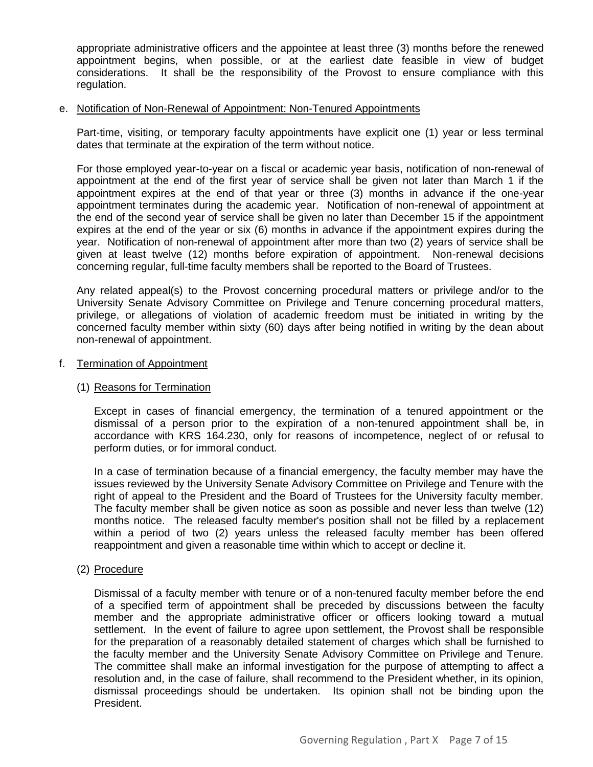appropriate administrative officers and the appointee at least three (3) months before the renewed appointment begins, when possible, or at the earliest date feasible in view of budget considerations. It shall be the responsibility of the Provost to ensure compliance with this regulation.

#### e. Notification of Non-Renewal of Appointment: Non-Tenured Appointments

Part-time, visiting, or temporary faculty appointments have explicit one (1) year or less terminal dates that terminate at the expiration of the term without notice.

For those employed year-to-year on a fiscal or academic year basis, notification of non-renewal of appointment at the end of the first year of service shall be given not later than March 1 if the appointment expires at the end of that year or three (3) months in advance if the one-year appointment terminates during the academic year. Notification of non-renewal of appointment at the end of the second year of service shall be given no later than December 15 if the appointment expires at the end of the year or six (6) months in advance if the appointment expires during the year. Notification of non-renewal of appointment after more than two (2) years of service shall be given at least twelve (12) months before expiration of appointment. Non-renewal decisions concerning regular, full-time faculty members shall be reported to the Board of Trustees.

Any related appeal(s) to the Provost concerning procedural matters or privilege and/or to the University Senate Advisory Committee on Privilege and Tenure concerning procedural matters, privilege, or allegations of violation of academic freedom must be initiated in writing by the concerned faculty member within sixty (60) days after being notified in writing by the dean about non-renewal of appointment.

#### f. Termination of Appointment

#### (1) Reasons for Termination

Except in cases of financial emergency, the termination of a tenured appointment or the dismissal of a person prior to the expiration of a non-tenured appointment shall be, in accordance with KRS 164.230, only for reasons of incompetence, neglect of or refusal to perform duties, or for immoral conduct.

In a case of termination because of a financial emergency, the faculty member may have the issues reviewed by the University Senate Advisory Committee on Privilege and Tenure with the right of appeal to the President and the Board of Trustees for the University faculty member. The faculty member shall be given notice as soon as possible and never less than twelve (12) months notice. The released faculty member's position shall not be filled by a replacement within a period of two (2) years unless the released faculty member has been offered reappointment and given a reasonable time within which to accept or decline it.

#### (2) Procedure

Dismissal of a faculty member with tenure or of a non-tenured faculty member before the end of a specified term of appointment shall be preceded by discussions between the faculty member and the appropriate administrative officer or officers looking toward a mutual settlement. In the event of failure to agree upon settlement, the Provost shall be responsible for the preparation of a reasonably detailed statement of charges which shall be furnished to the faculty member and the University Senate Advisory Committee on Privilege and Tenure. The committee shall make an informal investigation for the purpose of attempting to affect a resolution and, in the case of failure, shall recommend to the President whether, in its opinion, dismissal proceedings should be undertaken. Its opinion shall not be binding upon the President.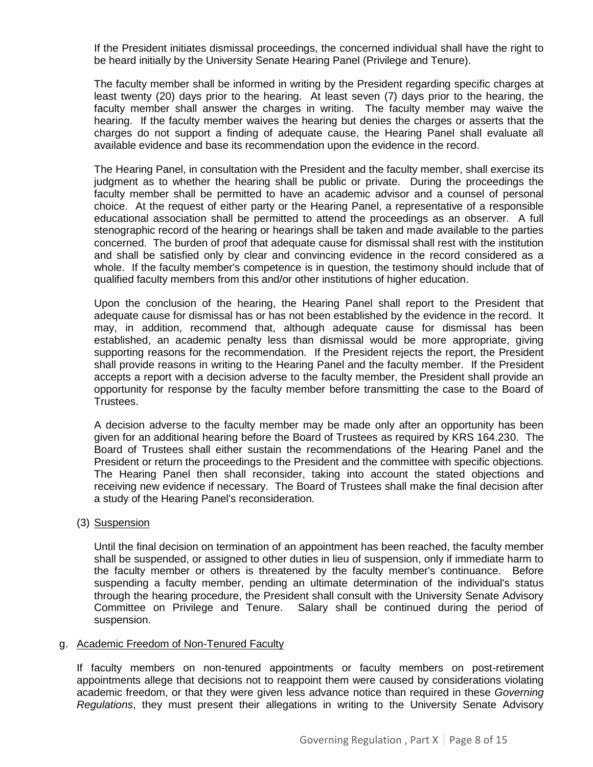If the President initiates dismissal proceedings, the concerned individual shall have the right to be heard initially by the University Senate Hearing Panel (Privilege and Tenure).

The faculty member shall be informed in writing by the President regarding specific charges at least twenty (20) days prior to the hearing. At least seven (7) days prior to the hearing, the faculty member shall answer the charges in writing. The faculty member may waive the hearing. If the faculty member waives the hearing but denies the charges or asserts that the charges do not support a finding of adequate cause, the Hearing Panel shall evaluate all available evidence and base its recommendation upon the evidence in the record.

The Hearing Panel, in consultation with the President and the faculty member, shall exercise its judgment as to whether the hearing shall be public or private. During the proceedings the faculty member shall be permitted to have an academic advisor and a counsel of personal choice. At the request of either party or the Hearing Panel, a representative of a responsible educational association shall be permitted to attend the proceedings as an observer. A full stenographic record of the hearing or hearings shall be taken and made available to the parties concerned. The burden of proof that adequate cause for dismissal shall rest with the institution and shall be satisfied only by clear and convincing evidence in the record considered as a whole. If the faculty member's competence is in question, the testimony should include that of qualified faculty members from this and/or other institutions of higher education.

Upon the conclusion of the hearing, the Hearing Panel shall report to the President that adequate cause for dismissal has or has not been established by the evidence in the record. It may, in addition, recommend that, although adequate cause for dismissal has been established, an academic penalty less than dismissal would be more appropriate, giving supporting reasons for the recommendation. If the President rejects the report, the President shall provide reasons in writing to the Hearing Panel and the faculty member. If the President accepts a report with a decision adverse to the faculty member, the President shall provide an opportunity for response by the faculty member before transmitting the case to the Board of Trustees.

A decision adverse to the faculty member may be made only after an opportunity has been given for an additional hearing before the Board of Trustees as required by KRS 164.230. The Board of Trustees shall either sustain the recommendations of the Hearing Panel and the President or return the proceedings to the President and the committee with specific objections. The Hearing Panel then shall reconsider, taking into account the stated objections and receiving new evidence if necessary. The Board of Trustees shall make the final decision after a study of the Hearing Panel's reconsideration.

(3) Suspension

Until the final decision on termination of an appointment has been reached, the faculty member shall be suspended, or assigned to other duties in lieu of suspension, only if immediate harm to the faculty member or others is threatened by the faculty member's continuance. Before suspending a faculty member, pending an ultimate determination of the individual's status through the hearing procedure, the President shall consult with the University Senate Advisory Committee on Privilege and Tenure. Salary shall be continued during the period of suspension.

#### g. Academic Freedom of Non-Tenured Faculty

If faculty members on non-tenured appointments or faculty members on post-retirement appointments allege that decisions not to reappoint them were caused by considerations violating academic freedom, or that they were given less advance notice than required in these *Governing Regulations*, they must present their allegations in writing to the University Senate Advisory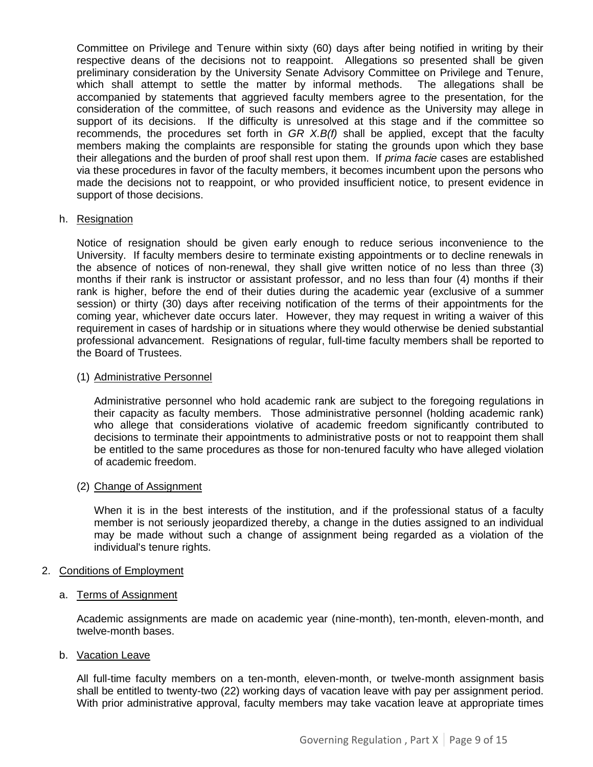Committee on Privilege and Tenure within sixty (60) days after being notified in writing by their respective deans of the decisions not to reappoint. Allegations so presented shall be given preliminary consideration by the University Senate Advisory Committee on Privilege and Tenure, which shall attempt to settle the matter by informal methods. The allegations shall be accompanied by statements that aggrieved faculty members agree to the presentation, for the consideration of the committee, of such reasons and evidence as the University may allege in support of its decisions. If the difficulty is unresolved at this stage and if the committee so recommends, the procedures set forth in *GR X.B(f)* shall be applied, except that the faculty members making the complaints are responsible for stating the grounds upon which they base their allegations and the burden of proof shall rest upon them. If *prima facie* cases are established via these procedures in favor of the faculty members, it becomes incumbent upon the persons who made the decisions not to reappoint, or who provided insufficient notice, to present evidence in support of those decisions.

#### h. Resignation

Notice of resignation should be given early enough to reduce serious inconvenience to the University. If faculty members desire to terminate existing appointments or to decline renewals in the absence of notices of non-renewal, they shall give written notice of no less than three (3) months if their rank is instructor or assistant professor, and no less than four (4) months if their rank is higher, before the end of their duties during the academic year (exclusive of a summer session) or thirty (30) days after receiving notification of the terms of their appointments for the coming year, whichever date occurs later. However, they may request in writing a waiver of this requirement in cases of hardship or in situations where they would otherwise be denied substantial professional advancement. Resignations of regular, full-time faculty members shall be reported to the Board of Trustees.

#### (1) Administrative Personnel

Administrative personnel who hold academic rank are subject to the foregoing regulations in their capacity as faculty members. Those administrative personnel (holding academic rank) who allege that considerations violative of academic freedom significantly contributed to decisions to terminate their appointments to administrative posts or not to reappoint them shall be entitled to the same procedures as those for non-tenured faculty who have alleged violation of academic freedom.

#### (2) Change of Assignment

When it is in the best interests of the institution, and if the professional status of a faculty member is not seriously jeopardized thereby, a change in the duties assigned to an individual may be made without such a change of assignment being regarded as a violation of the individual's tenure rights.

#### <span id="page-8-0"></span>2. Conditions of Employment

#### a. Terms of Assignment

Academic assignments are made on academic year (nine-month), ten-month, eleven-month, and twelve-month bases.

#### b. Vacation Leave

All full-time faculty members on a ten-month, eleven-month, or twelve-month assignment basis shall be entitled to twenty-two (22) working days of vacation leave with pay per assignment period. With prior administrative approval, faculty members may take vacation leave at appropriate times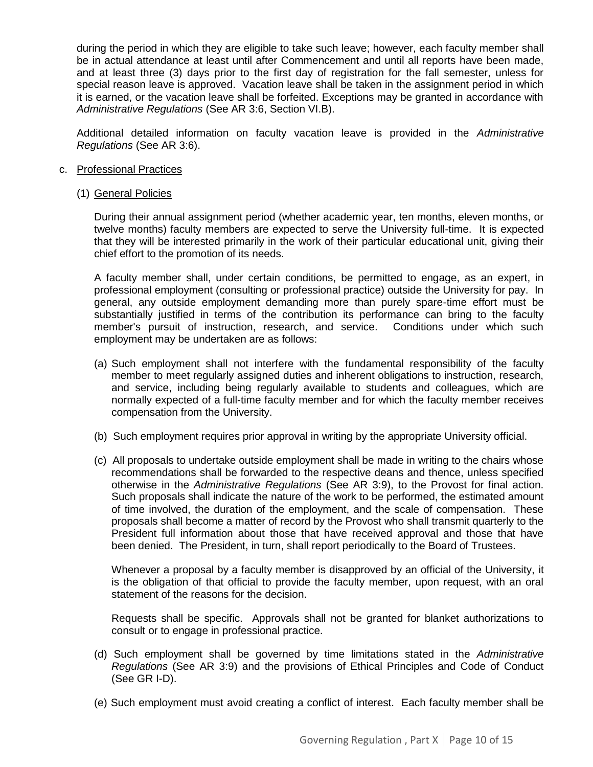during the period in which they are eligible to take such leave; however, each faculty member shall be in actual attendance at least until after Commencement and until all reports have been made, and at least three (3) days prior to the first day of registration for the fall semester, unless for special reason leave is approved. Vacation leave shall be taken in the assignment period in which it is earned, or the vacation leave shall be forfeited. Exceptions may be granted in accordance with *Administrative Regulations* (See AR 3:6, Section VI.B).

Additional detailed information on faculty vacation leave is provided in the *Administrative Regulations* (See AR 3:6).

#### c. Professional Practices

#### (1) General Policies

During their annual assignment period (whether academic year, ten months, eleven months, or twelve months) faculty members are expected to serve the University full-time. It is expected that they will be interested primarily in the work of their particular educational unit, giving their chief effort to the promotion of its needs.

A faculty member shall, under certain conditions, be permitted to engage, as an expert, in professional employment (consulting or professional practice) outside the University for pay. In general, any outside employment demanding more than purely spare-time effort must be substantially justified in terms of the contribution its performance can bring to the faculty member's pursuit of instruction, research, and service. Conditions under which such employment may be undertaken are as follows:

- (a) Such employment shall not interfere with the fundamental responsibility of the faculty member to meet regularly assigned duties and inherent obligations to instruction, research, and service, including being regularly available to students and colleagues, which are normally expected of a full-time faculty member and for which the faculty member receives compensation from the University.
- (b) Such employment requires prior approval in writing by the appropriate University official.
- (c) All proposals to undertake outside employment shall be made in writing to the chairs whose recommendations shall be forwarded to the respective deans and thence, unless specified otherwise in the *Administrative Regulations* (See AR 3:9), to the Provost for final action. Such proposals shall indicate the nature of the work to be performed, the estimated amount of time involved, the duration of the employment, and the scale of compensation. These proposals shall become a matter of record by the Provost who shall transmit quarterly to the President full information about those that have received approval and those that have been denied. The President, in turn, shall report periodically to the Board of Trustees.

Whenever a proposal by a faculty member is disapproved by an official of the University, it is the obligation of that official to provide the faculty member, upon request, with an oral statement of the reasons for the decision.

Requests shall be specific. Approvals shall not be granted for blanket authorizations to consult or to engage in professional practice.

- (d) Such employment shall be governed by time limitations stated in the *Administrative Regulations* (See AR 3:9) and the provisions of Ethical Principles and Code of Conduct (See GR I-D).
- (e) Such employment must avoid creating a conflict of interest. Each faculty member shall be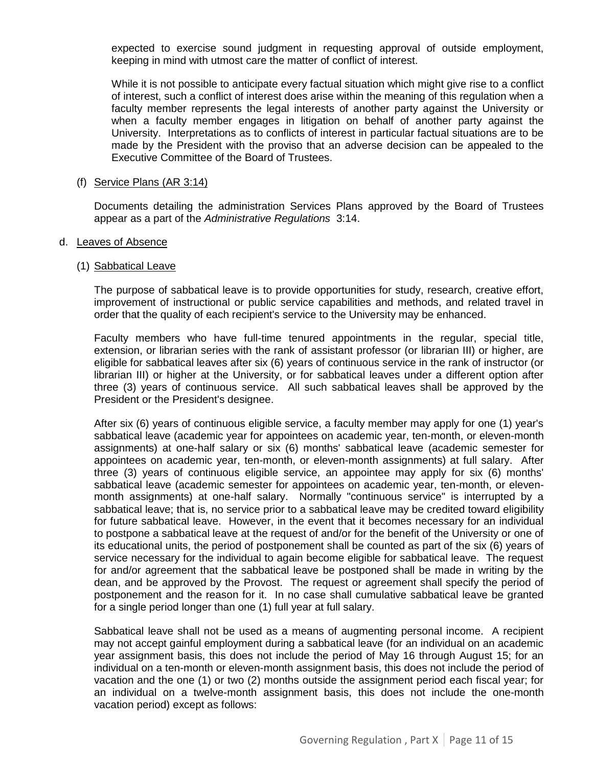expected to exercise sound judgment in requesting approval of outside employment, keeping in mind with utmost care the matter of conflict of interest.

While it is not possible to anticipate every factual situation which might give rise to a conflict of interest, such a conflict of interest does arise within the meaning of this regulation when a faculty member represents the legal interests of another party against the University or when a faculty member engages in litigation on behalf of another party against the University. Interpretations as to conflicts of interest in particular factual situations are to be made by the President with the proviso that an adverse decision can be appealed to the Executive Committee of the Board of Trustees.

#### (f) Service Plans (AR 3:14)

Documents detailing the administration Services Plans approved by the Board of Trustees appear as a part of the *Administrative Regulations* 3:14.

#### d. Leaves of Absence

#### (1) Sabbatical Leave

The purpose of sabbatical leave is to provide opportunities for study, research, creative effort, improvement of instructional or public service capabilities and methods, and related travel in order that the quality of each recipient's service to the University may be enhanced.

Faculty members who have full-time tenured appointments in the regular, special title, extension, or librarian series with the rank of assistant professor (or librarian III) or higher, are eligible for sabbatical leaves after six (6) years of continuous service in the rank of instructor (or librarian III) or higher at the University, or for sabbatical leaves under a different option after three (3) years of continuous service. All such sabbatical leaves shall be approved by the President or the President's designee.

After six (6) years of continuous eligible service, a faculty member may apply for one (1) year's sabbatical leave (academic year for appointees on academic year, ten-month, or eleven-month assignments) at one-half salary or six (6) months' sabbatical leave (academic semester for appointees on academic year, ten-month, or eleven-month assignments) at full salary. After three (3) years of continuous eligible service, an appointee may apply for six (6) months' sabbatical leave (academic semester for appointees on academic year, ten-month, or elevenmonth assignments) at one-half salary. Normally "continuous service" is interrupted by a sabbatical leave; that is, no service prior to a sabbatical leave may be credited toward eligibility for future sabbatical leave. However, in the event that it becomes necessary for an individual to postpone a sabbatical leave at the request of and/or for the benefit of the University or one of its educational units, the period of postponement shall be counted as part of the six (6) years of service necessary for the individual to again become eligible for sabbatical leave. The request for and/or agreement that the sabbatical leave be postponed shall be made in writing by the dean, and be approved by the Provost. The request or agreement shall specify the period of postponement and the reason for it. In no case shall cumulative sabbatical leave be granted for a single period longer than one (1) full year at full salary.

Sabbatical leave shall not be used as a means of augmenting personal income. A recipient may not accept gainful employment during a sabbatical leave (for an individual on an academic year assignment basis, this does not include the period of May 16 through August 15; for an individual on a ten-month or eleven-month assignment basis, this does not include the period of vacation and the one (1) or two (2) months outside the assignment period each fiscal year; for an individual on a twelve-month assignment basis, this does not include the one-month vacation period) except as follows: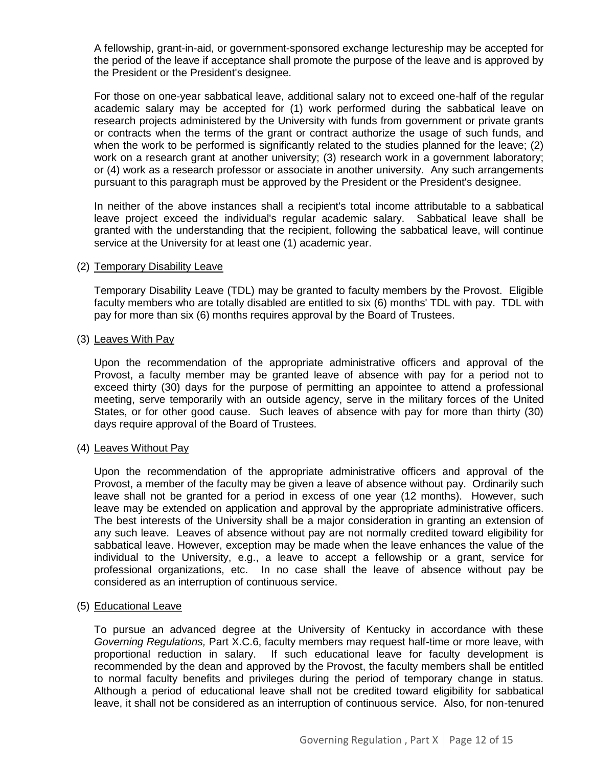A fellowship, grant-in-aid, or government-sponsored exchange lectureship may be accepted for the period of the leave if acceptance shall promote the purpose of the leave and is approved by the President or the President's designee.

For those on one-year sabbatical leave, additional salary not to exceed one-half of the regular academic salary may be accepted for (1) work performed during the sabbatical leave on research projects administered by the University with funds from government or private grants or contracts when the terms of the grant or contract authorize the usage of such funds, and when the work to be performed is significantly related to the studies planned for the leave; (2) work on a research grant at another university; (3) research work in a government laboratory; or (4) work as a research professor or associate in another university. Any such arrangements pursuant to this paragraph must be approved by the President or the President's designee.

In neither of the above instances shall a recipient's total income attributable to a sabbatical leave project exceed the individual's regular academic salary. Sabbatical leave shall be granted with the understanding that the recipient, following the sabbatical leave, will continue service at the University for at least one (1) academic year.

#### (2) Temporary Disability Leave

Temporary Disability Leave (TDL) may be granted to faculty members by the Provost. Eligible faculty members who are totally disabled are entitled to six (6) months' TDL with pay. TDL with pay for more than six (6) months requires approval by the Board of Trustees.

#### (3) Leaves With Pay

Upon the recommendation of the appropriate administrative officers and approval of the Provost, a faculty member may be granted leave of absence with pay for a period not to exceed thirty (30) days for the purpose of permitting an appointee to attend a professional meeting, serve temporarily with an outside agency, serve in the military forces of the United States, or for other good cause. Such leaves of absence with pay for more than thirty (30) days require approval of the Board of Trustees.

#### (4) Leaves Without Pay

Upon the recommendation of the appropriate administrative officers and approval of the Provost, a member of the faculty may be given a leave of absence without pay. Ordinarily such leave shall not be granted for a period in excess of one year (12 months). However, such leave may be extended on application and approval by the appropriate administrative officers. The best interests of the University shall be a major consideration in granting an extension of any such leave. Leaves of absence without pay are not normally credited toward eligibility for sabbatical leave. However, exception may be made when the leave enhances the value of the individual to the University, e.g., a leave to accept a fellowship or a grant, service for professional organizations, etc. In no case shall the leave of absence without pay be considered as an interruption of continuous service.

#### (5) Educational Leave

To pursue an advanced degree at the University of Kentucky in accordance with these *Governing Regulations,* Part X.C.6, faculty members may request half-time or more leave, with proportional reduction in salary. If such educational leave for faculty development is recommended by the dean and approved by the Provost, the faculty members shall be entitled to normal faculty benefits and privileges during the period of temporary change in status. Although a period of educational leave shall not be credited toward eligibility for sabbatical leave, it shall not be considered as an interruption of continuous service. Also, for non-tenured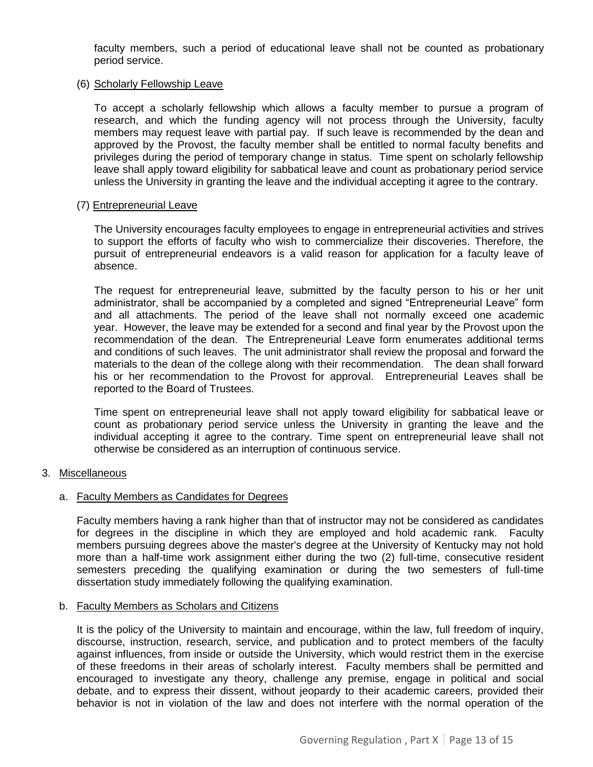faculty members, such a period of educational leave shall not be counted as probationary period service.

#### (6) Scholarly Fellowship Leave

To accept a scholarly fellowship which allows a faculty member to pursue a program of research, and which the funding agency will not process through the University, faculty members may request leave with partial pay. If such leave is recommended by the dean and approved by the Provost, the faculty member shall be entitled to normal faculty benefits and privileges during the period of temporary change in status. Time spent on scholarly fellowship leave shall apply toward eligibility for sabbatical leave and count as probationary period service unless the University in granting the leave and the individual accepting it agree to the contrary.

#### (7) Entrepreneurial Leave

The University encourages faculty employees to engage in entrepreneurial activities and strives to support the efforts of faculty who wish to commercialize their discoveries. Therefore, the pursuit of entrepreneurial endeavors is a valid reason for application for a faculty leave of absence.

The request for entrepreneurial leave, submitted by the faculty person to his or her unit administrator, shall be accompanied by a completed and signed "Entrepreneurial Leave" form and all attachments. The period of the leave shall not normally exceed one academic year. However, the leave may be extended for a second and final year by the Provost upon the recommendation of the dean. The Entrepreneurial Leave form enumerates additional terms and conditions of such leaves. The unit administrator shall review the proposal and forward the materials to the dean of the college along with their recommendation. The dean shall forward his or her recommendation to the Provost for approval. Entrepreneurial Leaves shall be reported to the Board of Trustees.

Time spent on entrepreneurial leave shall not apply toward eligibility for sabbatical leave or count as probationary period service unless the University in granting the leave and the individual accepting it agree to the contrary. Time spent on entrepreneurial leave shall not otherwise be considered as an interruption of continuous service.

#### <span id="page-12-0"></span>3. Miscellaneous

#### a. Faculty Members as Candidates for Degrees

Faculty members having a rank higher than that of instructor may not be considered as candidates for degrees in the discipline in which they are employed and hold academic rank. Faculty members pursuing degrees above the master's degree at the University of Kentucky may not hold more than a half-time work assignment either during the two (2) full-time, consecutive resident semesters preceding the qualifying examination or during the two semesters of full-time dissertation study immediately following the qualifying examination.

#### b. Faculty Members as Scholars and Citizens

It is the policy of the University to maintain and encourage, within the law, full freedom of inquiry, discourse, instruction, research, service, and publication and to protect members of the faculty against influences, from inside or outside the University, which would restrict them in the exercise of these freedoms in their areas of scholarly interest. Faculty members shall be permitted and encouraged to investigate any theory, challenge any premise, engage in political and social debate, and to express their dissent, without jeopardy to their academic careers, provided their behavior is not in violation of the law and does not interfere with the normal operation of the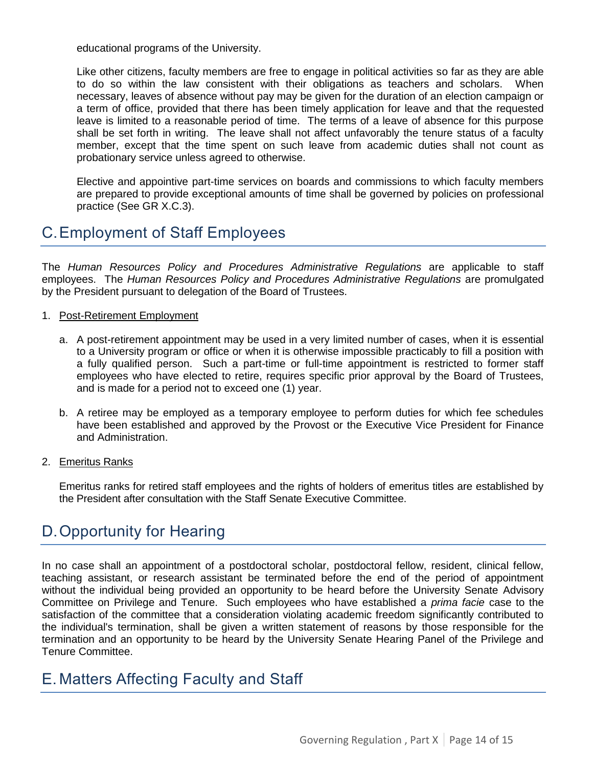educational programs of the University.

Like other citizens, faculty members are free to engage in political activities so far as they are able to do so within the law consistent with their obligations as teachers and scholars. When necessary, leaves of absence without pay may be given for the duration of an election campaign or a term of office, provided that there has been timely application for leave and that the requested leave is limited to a reasonable period of time. The terms of a leave of absence for this purpose shall be set forth in writing. The leave shall not affect unfavorably the tenure status of a faculty member, except that the time spent on such leave from academic duties shall not count as probationary service unless agreed to otherwise.

Elective and appointive part-time services on boards and commissions to which faculty members are prepared to provide exceptional amounts of time shall be governed by policies on professional practice (See GR X.C.3).

### <span id="page-13-0"></span>C.Employment of Staff Employees

The *Human Resources Policy and Procedures Administrative Regulations* are applicable to staff employees. The *Human Resources Policy and Procedures Administrative Regulations* are promulgated by the President pursuant to delegation of the Board of Trustees.

- 1. Post-Retirement Employment
	- a. A post-retirement appointment may be used in a very limited number of cases, when it is essential to a University program or office or when it is otherwise impossible practicably to fill a position with a fully qualified person. Such a part-time or full-time appointment is restricted to former staff employees who have elected to retire, requires specific prior approval by the Board of Trustees, and is made for a period not to exceed one (1) year.
	- b. A retiree may be employed as a temporary employee to perform duties for which fee schedules have been established and approved by the Provost or the Executive Vice President for Finance and Administration.
- 2. Emeritus Ranks

Emeritus ranks for retired staff employees and the rights of holders of emeritus titles are established by the President after consultation with the Staff Senate Executive Committee.

### <span id="page-13-1"></span>D.Opportunity for Hearing

In no case shall an appointment of a postdoctoral scholar, postdoctoral fellow, resident, clinical fellow, teaching assistant, or research assistant be terminated before the end of the period of appointment without the individual being provided an opportunity to be heard before the University Senate Advisory Committee on Privilege and Tenure. Such employees who have established a *prima facie* case to the satisfaction of the committee that a consideration violating academic freedom significantly contributed to the individual's termination, shall be given a written statement of reasons by those responsible for the termination and an opportunity to be heard by the University Senate Hearing Panel of the Privilege and Tenure Committee.

### <span id="page-13-2"></span>E. Matters Affecting Faculty and Staff